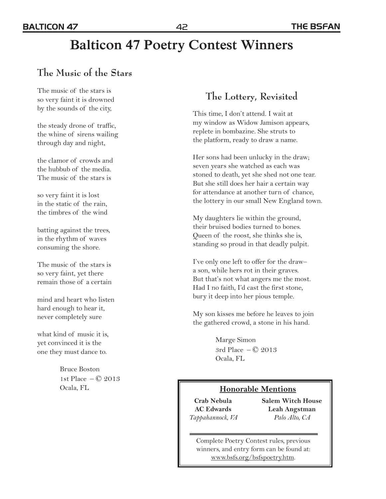# **Balticon 47 Poetry Contest Winners**

## **The Music of the Stars**

The music of the stars is so very faint it is drowned by the sounds of the city,

the steady drone of traffic, the whine of sirens wailing through day and night,

the clamor of crowds and the hubbub of the media. The music of the stars is

so very faint it is lost in the static of the rain, the timbres of the wind

batting against the trees, in the rhythm of waves consuming the shore.

The music of the stars is so very faint, yet there remain those of a certain

mind and heart who listen hard enough to hear it, never completely sure

what kind of music it is, yet convinced it is the one they must dance to.

> Bruce Boston 1st Place – © 2013 Ocala, FL

## **The Lottery, Revisited**

This time, I don't attend. I wait at my window as Widow Jamison appears, replete in bombazine. She struts to the platform, ready to draw a name.

Her sons had been unlucky in the draw; seven years she watched as each was stoned to death, yet she shed not one tear. But she still does her hair a certain way for attendance at another turn of chance, the lottery in our small New England town.

My daughters lie within the ground, their bruised bodies turned to bones. Queen of the roost, she thinks she is, standing so proud in that deadly pulpit.

I've only one left to offer for the draw– a son, while hers rot in their graves. But that's not what angers me the most. Had I no faith, I'd cast the first stone, bury it deep into her pious temple.

My son kisses me before he leaves to join the gathered crowd, a stone in his hand.

> Marge Simon 3rd Place  $-\oslash 2013$ Ocala, FL

#### **Honorable Mentions**

**Crab Nebula AC Edwards**  *Tappahannock, VA* **Salem Witch House Leah Angstman**  *Palo Alto, CA*

Complete Poetry Contest rules, previous winners, and entry form can be found at: www.bsfs.org/bsfspoetry.htm.